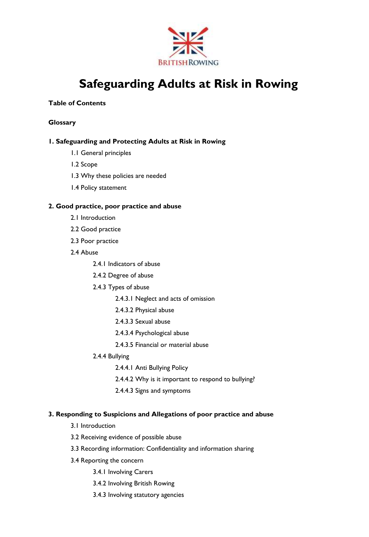

# **Safeguarding Adults at Risk in Rowing**

# **Table of Contents**

# **Glossary**

# **1. Safeguarding and Protecting Adults at Risk in Rowing**

- 1.1 General principles
- 1.2 Scope
- 1.3 Why these policies are needed
- 1.4 Policy statement

# **2. Good practice, poor practice and abuse**

- 2.1 Introduction
- 2.2 Good practice
- 2.3 Poor practice
- 2.4 Abuse
	- 2.4.1 Indicators of abuse
	- 2.4.2 Degree of abuse
	- 2.4.3 Types of abuse
		- 2.4.3.1 Neglect and acts of omission
		- 2.4.3.2 Physical abuse
		- 2.4.3.3 Sexual abuse
		- 2.4.3.4 Psychological abuse
		- 2.4.3.5 Financial or material abuse
	- 2.4.4 Bullying
		- 2.4.4.1 Anti Bullying Policy
		- 2.4.4.2 Why is it important to respond to bullying?
		- 2.4.4.3 Signs and symptoms

# **3. Responding to Suspicions and Allegations of poor practice and abuse**

- 3.1 Introduction
- 3.2 Receiving evidence of possible abuse
- 3.3 Recording information: Confidentiality and information sharing
- 3.4 Reporting the concern
	- 3.4.1 Involving Carers
	- 3.4.2 Involving British Rowing
	- 3.4.3 Involving statutory agencies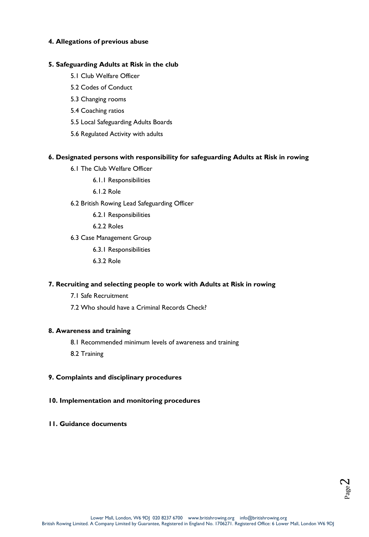## **4. Allegations of previous abuse**

## **5. Safeguarding Adults at Risk in the club**

- 5.1 Club Welfare Officer
- 5.2 Codes of Conduct
- 5.3 Changing rooms
- 5.4 Coaching ratios
- 5.5 Local Safeguarding Adults Boards
- 5.6 Regulated Activity with adults

## **6. Designated persons with responsibility for safeguarding Adults at Risk in rowing**

- 6.1 The Club Welfare Officer
	- 6.1.1 Responsibilities
	- 6.1.2 Role
- 6.2 British Rowing Lead Safeguarding Officer
	- 6.2.1 Responsibilities
	- 6.2.2 Roles
- 6.3 Case Management Group
	- 6.3.1 Responsibilities
	- 6.3.2 Role

# **7. Recruiting and selecting people to work with Adults at Risk in rowing**

- 7.1 Safe Recruitment
- 7.2 Who should have a Criminal Records Check?

# **8. Awareness and training**

- 8.1 Recommended minimum levels of awareness and training
- 8.2 Training

# **9. Complaints and disciplinary procedures**

# **10. Implementation and monitoring procedures**

**11. Guidance documents** 

Page  $\boldsymbol{\sim}$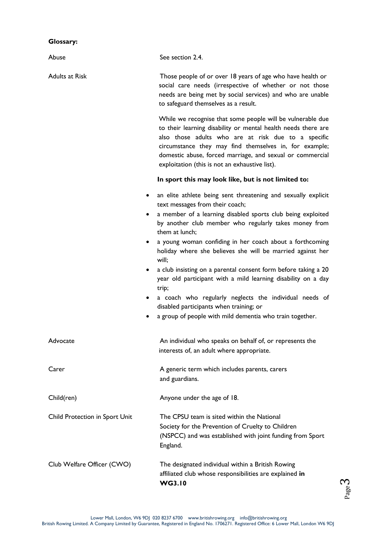# **Glossary:**

| Abuse                          | See section 2.4.                                                                                                                                                                                                                                                                                                                                                                                                                                                                                                                                                                                                                                                                                               |  |  |  |
|--------------------------------|----------------------------------------------------------------------------------------------------------------------------------------------------------------------------------------------------------------------------------------------------------------------------------------------------------------------------------------------------------------------------------------------------------------------------------------------------------------------------------------------------------------------------------------------------------------------------------------------------------------------------------------------------------------------------------------------------------------|--|--|--|
| <b>Adults at Risk</b>          | Those people of or over 18 years of age who have health or<br>social care needs (irrespective of whether or not those<br>needs are being met by social services) and who are unable<br>to safeguard themselves as a result.                                                                                                                                                                                                                                                                                                                                                                                                                                                                                    |  |  |  |
|                                | While we recognise that some people will be vulnerable due<br>to their learning disability or mental health needs there are<br>also those adults who are at risk due to a specific<br>circumstance they may find themselves in, for example;<br>domestic abuse, forced marriage, and sexual or commercial<br>exploitation (this is not an exhaustive list).                                                                                                                                                                                                                                                                                                                                                    |  |  |  |
|                                | In sport this may look like, but is not limited to:                                                                                                                                                                                                                                                                                                                                                                                                                                                                                                                                                                                                                                                            |  |  |  |
|                                | an elite athlete being sent threatening and sexually explicit<br>٠<br>text messages from their coach;<br>a member of a learning disabled sports club being exploited<br>by another club member who regularly takes money from<br>them at lunch;<br>a young woman confiding in her coach about a forthcoming<br>٠<br>holiday where she believes she will be married against her<br>will;<br>a club insisting on a parental consent form before taking a 20<br>٠<br>year old participant with a mild learning disability on a day<br>trip;<br>a coach who regularly neglects the individual needs of<br>٠<br>disabled participants when training; or<br>a group of people with mild dementia who train together. |  |  |  |
| Advocate                       | An individual who speaks on behalf of, or represents the<br>interests of, an adult where appropriate.                                                                                                                                                                                                                                                                                                                                                                                                                                                                                                                                                                                                          |  |  |  |
| Carer                          | A generic term which includes parents, carers<br>and guardians.                                                                                                                                                                                                                                                                                                                                                                                                                                                                                                                                                                                                                                                |  |  |  |
| Child(ren)                     | Anyone under the age of 18.                                                                                                                                                                                                                                                                                                                                                                                                                                                                                                                                                                                                                                                                                    |  |  |  |
| Child Protection in Sport Unit | The CPSU team is sited within the National<br>Society for the Prevention of Cruelty to Children<br>(NSPCC) and was established with joint funding from Sport<br>England.                                                                                                                                                                                                                                                                                                                                                                                                                                                                                                                                       |  |  |  |
| Club Welfare Officer (CWO)     | The designated individual within a British Rowing<br>affiliated club whose responsibilities are explained in<br><b>WG3.10</b>                                                                                                                                                                                                                                                                                                                                                                                                                                                                                                                                                                                  |  |  |  |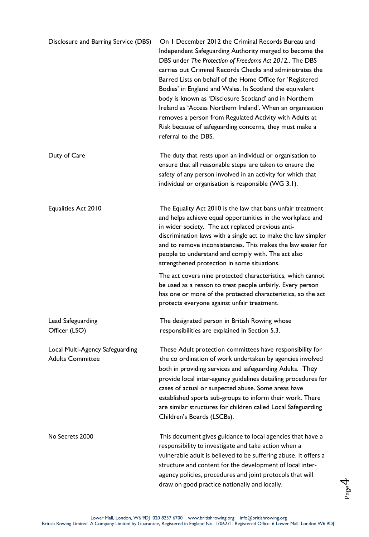| Disclosure and Barring Service (DBS)                       | On I December 2012 the Criminal Records Bureau and<br>Independent Safeguarding Authority merged to become the<br>DBS under The Protection of Freedoms Act 2012 The DBS<br>carries out Criminal Records Checks and administrates the<br>Barred Lists on behalf of the Home Office for 'Registered<br>Bodies' in England and Wales. In Scotland the equivalent<br>body is known as 'Disclosure Scotland' and in Northern<br>Ireland as 'Access Northern Ireland'. When an organisation<br>removes a person from Regulated Activity with Adults at<br>Risk because of safeguarding concerns, they must make a<br>referral to the DBS. |
|------------------------------------------------------------|------------------------------------------------------------------------------------------------------------------------------------------------------------------------------------------------------------------------------------------------------------------------------------------------------------------------------------------------------------------------------------------------------------------------------------------------------------------------------------------------------------------------------------------------------------------------------------------------------------------------------------|
| Duty of Care                                               | The duty that rests upon an individual or organisation to<br>ensure that all reasonable steps are taken to ensure the<br>safety of any person involved in an activity for which that<br>individual or organisation is responsible (WG 3.1).                                                                                                                                                                                                                                                                                                                                                                                        |
| Equalities Act 2010                                        | The Equality Act 2010 is the law that bans unfair treatment<br>and helps achieve equal opportunities in the workplace and<br>in wider society. The act replaced previous anti-<br>discrimination laws with a single act to make the law simpler<br>and to remove inconsistencies. This makes the law easier for<br>people to understand and comply with. The act also<br>strengthened protection in some situations.                                                                                                                                                                                                               |
|                                                            | The act covers nine protected characteristics, which cannot<br>be used as a reason to treat people unfairly. Every person<br>has one or more of the protected characteristics, so the act<br>protects everyone against unfair treatment.                                                                                                                                                                                                                                                                                                                                                                                           |
| Lead Safeguarding<br>Officer (LSO)                         | The designated person in British Rowing whose<br>responsibilities are explained in Section 5.3.                                                                                                                                                                                                                                                                                                                                                                                                                                                                                                                                    |
| Local Multi-Agency Safeguarding<br><b>Adults Committee</b> | These Adult protection committees have responsibility for<br>the co ordination of work undertaken by agencies involved<br>both in providing services and safeguarding Adults. They<br>provide local inter-agency guidelines detailing procedures for<br>cases of actual or suspected abuse. Some areas have<br>established sports sub-groups to inform their work. There<br>are similar structures for children called Local Safeguarding<br>Children's Boards (LSCBs).                                                                                                                                                            |
| No Secrets 2000                                            | This document gives guidance to local agencies that have a<br>responsibility to investigate and take action when a<br>vulnerable adult is believed to be suffering abuse. It offers a<br>structure and content for the development of local inter-<br>agency policies, procedures and joint protocols that will<br>draw on good practice nationally and locally.                                                                                                                                                                                                                                                                   |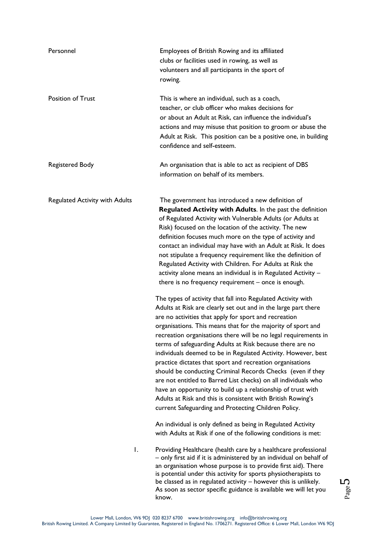| Personnel                             | Employees of British Rowing and its affiliated<br>clubs or facilities used in rowing, as well as<br>volunteers and all participants in the sport of<br>rowing.                                                                                                                                                                                                                                                                                                                                                                                                                                                                                                                                                                                                                                                                               |  |  |  |
|---------------------------------------|----------------------------------------------------------------------------------------------------------------------------------------------------------------------------------------------------------------------------------------------------------------------------------------------------------------------------------------------------------------------------------------------------------------------------------------------------------------------------------------------------------------------------------------------------------------------------------------------------------------------------------------------------------------------------------------------------------------------------------------------------------------------------------------------------------------------------------------------|--|--|--|
| <b>Position of Trust</b>              | This is where an individual, such as a coach,<br>teacher, or club officer who makes decisions for<br>or about an Adult at Risk, can influence the individual's<br>actions and may misuse that position to groom or abuse the<br>Adult at Risk. This position can be a positive one, in building<br>confidence and self-esteem.                                                                                                                                                                                                                                                                                                                                                                                                                                                                                                               |  |  |  |
| <b>Registered Body</b>                | An organisation that is able to act as recipient of DBS<br>information on behalf of its members.                                                                                                                                                                                                                                                                                                                                                                                                                                                                                                                                                                                                                                                                                                                                             |  |  |  |
| <b>Regulated Activity with Adults</b> | The government has introduced a new definition of<br>Regulated Activity with Adults. In the past the definition<br>of Regulated Activity with Vulnerable Adults (or Adults at<br>Risk) focused on the location of the activity. The new<br>definition focuses much more on the type of activity and<br>contact an individual may have with an Adult at Risk. It does<br>not stipulate a frequency requirement like the definition of<br>Regulated Activity with Children. For Adults at Risk the<br>activity alone means an individual is in Regulated Activity -<br>there is no frequency requirement - once is enough.                                                                                                                                                                                                                     |  |  |  |
|                                       | The types of activity that fall into Regulated Activity with<br>Adults at Risk are clearly set out and in the large part there<br>are no activities that apply for sport and recreation<br>organisations. This means that for the majority of sport and<br>recreation organisations there will be no legal requirements in<br>terms of safeguarding Adults at Risk because there are no<br>individuals deemed to be in Regulated Activity. However, best<br>practice dictates that sport and recreation organisations<br>should be conducting Criminal Records Checks (even if they<br>are not entitled to Barred List checks) on all individuals who<br>have an opportunity to build up a relationship of trust with<br>Adults at Risk and this is consistent with British Rowing's<br>current Safeguarding and Protecting Children Policy. |  |  |  |
|                                       | An individual is only defined as being in Regulated Activity<br>with Adults at Risk if one of the following conditions is met:                                                                                                                                                                                                                                                                                                                                                                                                                                                                                                                                                                                                                                                                                                               |  |  |  |
| Ι.                                    | Providing Healthcare (health care by a healthcare professional<br>- only first aid if it is administered by an individual on behalf of<br>an organisation whose purpose is to provide first aid). There<br>is potential under this activity for sports physiotherapists to<br>be classed as in regulated activity - however this is unlikely.<br>As soon as sector specific guidance is available we will let you                                                                                                                                                                                                                                                                                                                                                                                                                            |  |  |  |

Page ம

know.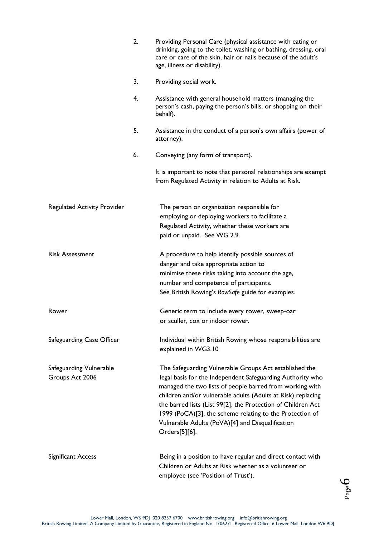|                                            | 2. | Providing Personal Care (physical assistance with eating or<br>drinking, going to the toilet, washing or bathing, dressing, oral<br>care or care of the skin, hair or nails because of the adult's<br>age, illness or disability).                                                                                                                                                                                                                |
|--------------------------------------------|----|---------------------------------------------------------------------------------------------------------------------------------------------------------------------------------------------------------------------------------------------------------------------------------------------------------------------------------------------------------------------------------------------------------------------------------------------------|
|                                            | 3. | Providing social work.                                                                                                                                                                                                                                                                                                                                                                                                                            |
|                                            | 4. | Assistance with general household matters (managing the<br>person's cash, paying the person's bills, or shopping on their<br>behalf).                                                                                                                                                                                                                                                                                                             |
|                                            | 5. | Assistance in the conduct of a person's own affairs (power of<br>attorney).                                                                                                                                                                                                                                                                                                                                                                       |
|                                            | 6. | Conveying (any form of transport).                                                                                                                                                                                                                                                                                                                                                                                                                |
|                                            |    | It is important to note that personal relationships are exempt<br>from Regulated Activity in relation to Adults at Risk.                                                                                                                                                                                                                                                                                                                          |
| <b>Regulated Activity Provider</b>         |    | The person or organisation responsible for<br>employing or deploying workers to facilitate a<br>Regulated Activity, whether these workers are<br>paid or unpaid. See WG 2.9.                                                                                                                                                                                                                                                                      |
| <b>Risk Assessment</b>                     |    | A procedure to help identify possible sources of<br>danger and take appropriate action to<br>minimise these risks taking into account the age,<br>number and competence of participants.<br>See British Rowing's RowSafe guide for examples.                                                                                                                                                                                                      |
| Rower                                      |    | Generic term to include every rower, sweep-oar<br>or sculler, cox or indoor rower.                                                                                                                                                                                                                                                                                                                                                                |
| Safeguarding Case Officer                  |    | Individual within British Rowing whose responsibilities are<br>explained in WG3.10                                                                                                                                                                                                                                                                                                                                                                |
| Safeguarding Vulnerable<br>Groups Act 2006 |    | The Safeguarding Vulnerable Groups Act established the<br>legal basis for the Independent Safeguarding Authority who<br>managed the two lists of people barred from working with<br>children and/or vulnerable adults (Adults at Risk) replacing<br>the barred lists (List 99[2], the Protection of Children Act<br>1999 (PoCA)[3], the scheme relating to the Protection of<br>Vulnerable Adults (PoVA)[4] and Disqualification<br>Orders[5][6]. |
| Significant Access                         |    | Being in a position to have regular and direct contact with<br>Children or Adults at Risk whether as a volunteer or<br>employee (see 'Position of Trust').                                                                                                                                                                                                                                                                                        |

Page  $\mathcal{O}$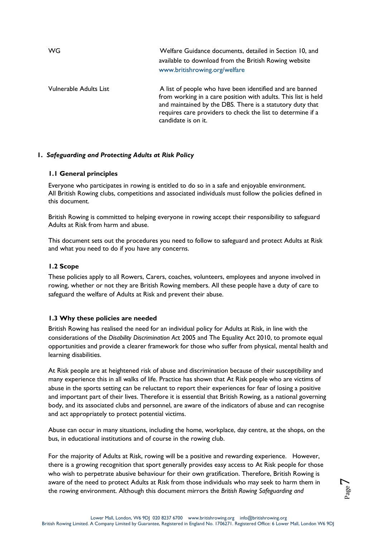WG Welfare Guidance documents, detailed in Section 10, and available to download from the British Rowing website www.britishrowing.org/welfare Vulnerable Adults List A list of people who have been identified and are banned from working in a care position with adults. This list is held and maintained by the DBS. There is a statutory duty that requires care providers to check the list to determine if a candidate is on it.

## **1.** *Safeguarding and Protecting Adults at Risk Policy*

## **1.1 General principles**

Everyone who participates in rowing is entitled to do so in a safe and enjoyable environment. All British Rowing clubs, competitions and associated individuals must follow the policies defined in this document.

British Rowing is committed to helping everyone in rowing accept their responsibility to safeguard Adults at Risk from harm and abuse.

This document sets out the procedures you need to follow to safeguard and protect Adults at Risk and what you need to do if you have any concerns.

## **1.2 Scope**

These policies apply to all Rowers, Carers, coaches, volunteers, employees and anyone involved in rowing, whether or not they are British Rowing members. All these people have a duty of care to safeguard the welfare of Adults at Risk and prevent their abuse.

# **1.3 Why these policies are needed**

British Rowing has realised the need for an individual policy for Adults at Risk, in line with the considerations of the *Disability Discrimination Ac*t 2005 and The Equality Act 2010, to promote equal opportunities and provide a clearer framework for those who suffer from physical, mental health and learning disabilities.

At Risk people are at heightened risk of abuse and discrimination because of their susceptibility and many experience this in all walks of life. Practice has shown that At Risk people who are victims of abuse in the sports setting can be reluctant to report their experiences for fear of losing a positive and important part of their lives. Therefore it is essential that British Rowing, as a national governing body, and its associated clubs and personnel, are aware of the indicators of abuse and can recognise and act appropriately to protect potential victims.

Abuse can occur in many situations, including the home, workplace, day centre, at the shops, on the bus, in educational institutions and of course in the rowing club.

For the majority of Adults at Risk, rowing will be a positive and rewarding experience. However, there is a growing recognition that sport generally provides easy access to At Risk people for those who wish to perpetrate abusive behaviour for their own gratification. Therefore, British Rowing is aware of the need to protect Adults at Risk from those individuals who may seek to harm them in the rowing environment. Although this document mirrors the *British Rowing Safeguarding and*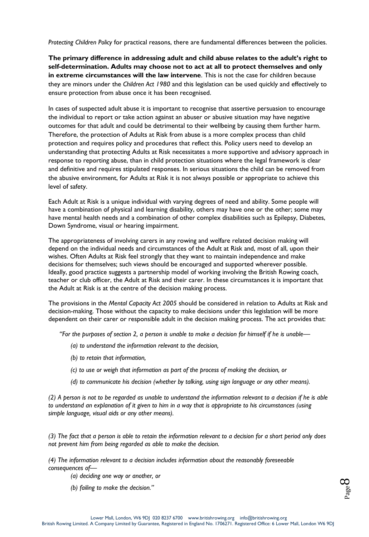*Protecting Children Policy* for practical reasons, there are fundamental differences between the policies.

**The primary difference in addressing adult and child abuse relates to the adult's right to self-determination. Adults may choose not to act at all to protect themselves and only in extreme circumstances will the law intervene**. This is not the case for children because they are minors under the *Children Act 1980* and this legislation can be used quickly and effectively to ensure protection from abuse once it has been recognised.

In cases of suspected adult abuse it is important to recognise that assertive persuasion to encourage the individual to report or take action against an abuser or abusive situation may have negative outcomes for that adult and could be detrimental to their wellbeing by causing them further harm. Therefore, the protection of Adults at Risk from abuse is a more complex process than child protection and requires policy and procedures that reflect this. Policy users need to develop an understanding that protecting Adults at Risk necessitates a more supportive and advisory approach in response to reporting abuse, than in child protection situations where the legal framework is clear and definitive and requires stipulated responses. In serious situations the child can be removed from the abusive environment, for Adults at Risk it is not always possible or appropriate to achieve this level of safety.

Each Adult at Risk is a unique individual with varying degrees of need and ability. Some people will have a combination of physical and learning disability, others may have one or the other; some may have mental health needs and a combination of other complex disabilities such as Epilepsy, Diabetes, Down Syndrome, visual or hearing impairment.

The appropriateness of involving carers in any rowing and welfare related decision making will depend on the individual needs and circumstances of the Adult at Risk and, most of all, upon their wishes. Often Adults at Risk feel strongly that they want to maintain independence and make decisions for themselves; such views should be encouraged and supported wherever possible. Ideally, good practice suggests a partnership model of working involving the British Rowing coach, teacher or club officer, the Adult at Risk and their carer. In these circumstances it is important that the Adult at Risk is at the centre of the decision making process.

The provisions in the *Mental Capacity Act 2005* should be considered in relation to Adults at Risk and decision-making. Those without the capacity to make decisions under this legislation will be more dependent on their carer or responsible adult in the decision making process. The act provides that:

*"For the purposes of section 2, a person is unable to make a decision for himself if he is unable—*

- *(a) to understand the information relevant to the decision,*
- *(b) to retain that information,*
- *(c) to use or weigh that information as part of the process of making the decision, or*
- *(d) to communicate his decision (whether by talking, using sign language or any other means).*

*(2) A person is not to be regarded as unable to understand the information relevant to a decision if he is able to understand an explanation of it given to him in a way that is appropriate to his circumstances (using simple language, visual aids or any other means).* 

*(3) The fact that a person is able to retain the information relevant to a decision for a short period only does not prevent him from being regarded as able to make the decision.* 

*(4) The information relevant to a decision includes information about the reasonably foreseeable consequences of—*

- *(a) deciding one way or another, or*
- *(b) failing to make the decision."*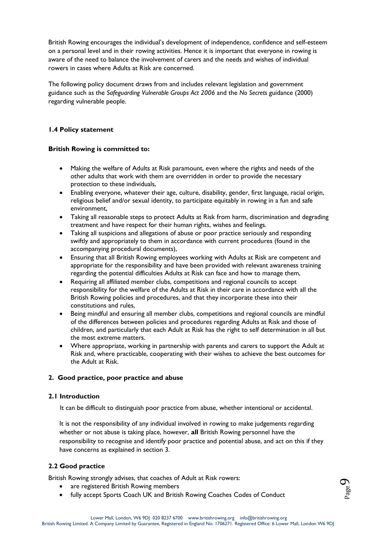British Rowing encourages the individual's development of independence, confidence and self-esteem on a personal level and in their rowing activities. Hence it is important that everyone in rowing is aware of the need to balance the involvement of carers and the needs and wishes of individual rowers in cases where Adults at Risk are concerned.

The following policy document draws from and includes relevant legislation and government guidance such as the *Safeguarding Vulnerable Groups Act 2006* and the *No Secrets* guidance (2000) regarding vulnerable people.

# **1.4 Policy statement**

## **British Rowing is committed to:**

- Making the welfare of Adults at Risk paramount, even where the rights and needs of the other adults that work with them are overridden in order to provide the necessary protection to these individuals,
- Enabling everyone, whatever their age, culture, disability, gender, first language, racial origin, religious belief and/or sexual identity, to participate equitably in rowing in a fun and safe environment,
- Taking all reasonable steps to protect Adults at Risk from harm, discrimination and degrading treatment and have respect for their human rights, wishes and feelings.
- Taking all suspicions and allegations of abuse or poor practice seriously and responding swiftly and appropriately to them in accordance with current procedures (found in the accompanying procedural documents),
- Ensuring that all British Rowing employees working with Adults at Risk are competent and appropriate for the responsibility and have been provided with relevant awareness training regarding the potential difficulties Adults at Risk can face and how to manage them,
- Requiring all affiliated member clubs, competitions and regional councils to accept responsibility for the welfare of the Adults at Risk in their care in accordance with all the British Rowing policies and procedures, and that they incorporate these into their constitutions and rules,
- Being mindful and ensuring all member clubs, competitions and regional councils are mindful of the differences between policies and procedures regarding Adults at Risk and those of children, and particularly that each Adult at Risk has the right to self determination in all but the most extreme matters.
- Where appropriate, working in partnership with parents and carers to support the Adult at Risk and, where practicable, cooperating with their wishes to achieve the best outcomes for the Adult at Risk.

## **2. Good practice, poor practice and abuse**

## **2.1 Introduction**

It can be difficult to distinguish poor practice from abuse, whether intentional or accidental.

It is not the responsibility of any individual involved in rowing to make judgements regarding whether or not abuse is taking place, however, **all** British Rowing personnel have the responsibility to recognise and identify poor practice and potential abuse, and act on this if they have concerns as explained in section 3.

# **2.2 Good practice**

British Rowing strongly advises, that coaches of Adult at Risk rowers:

- are registered British Rowing members
- fully accept Sports Coach UK and British Rowing Coaches Codes of Conduct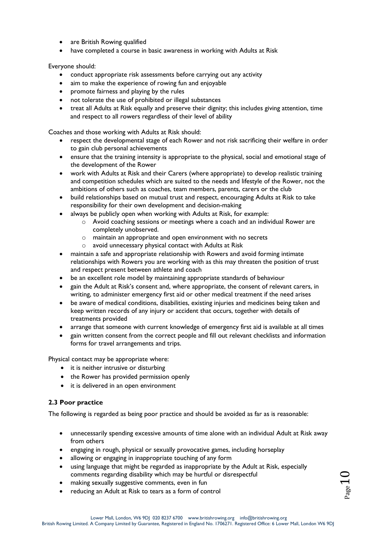- are British Rowing qualified
- have completed a course in basic awareness in working with Adults at Risk

Everyone should:

- conduct appropriate risk assessments before carrying out any activity
- aim to make the experience of rowing fun and enjoyable
- promote fairness and playing by the rules
- not tolerate the use of prohibited or illegal substances
- treat all Adults at Risk equally and preserve their dignity; this includes giving attention, time and respect to all rowers regardless of their level of ability

Coaches and those working with Adults at Risk should:

- respect the developmental stage of each Rower and not risk sacrificing their welfare in order to gain club personal achievements
- ensure that the training intensity is appropriate to the physical, social and emotional stage of the development of the Rower
- work with Adults at Risk and their Carers (where appropriate) to develop realistic training and competition schedules which are suited to the needs and lifestyle of the Rower, not the ambitions of others such as coaches, team members, parents, carers or the club
- build relationships based on mutual trust and respect, encouraging Adults at Risk to take responsibility for their own development and decision-making
- always be publicly open when working with Adults at Risk, for example:
	- $\circ$  Avoid coaching sessions or meetings where a coach and an individual Rower are completely unobserved.
	- o maintain an appropriate and open environment with no secrets
	- o avoid unnecessary physical contact with Adults at Risk
- maintain a safe and appropriate relationship with Rowers and avoid forming intimate relationships with Rowers you are working with as this may threaten the position of trust and respect present between athlete and coach
- be an excellent role model by maintaining appropriate standards of behaviour
- gain the Adult at Risk's consent and, where appropriate, the consent of relevant carers, in writing, to administer emergency first aid or other medical treatment if the need arises
- be aware of medical conditions, disabilities, existing injuries and medicines being taken and keep written records of any injury or accident that occurs, together with details of treatments provided
- arrange that someone with current knowledge of emergency first aid is available at all times
- gain written consent from the correct people and fill out relevant checklists and information forms for travel arrangements and trips.

Physical contact may be appropriate where:

- it is neither intrusive or disturbing
- the Rower has provided permission openly
- it is delivered in an open environment

# **2.3 Poor practice**

The following is regarded as being poor practice and should be avoided as far as is reasonable:

- unnecessarily spending excessive amounts of time alone with an individual Adult at Risk away from others
- engaging in rough, physical or sexually provocative games, including horseplay
- allowing or engaging in inappropriate touching of any form
- using language that might be regarded as inappropriate by the Adult at Risk, especially comments regarding disability which may be hurtful or disrespectful
- making sexually suggestive comments, even in fun
- reducing an Adult at Risk to tears as a form of control

 $\bigcup$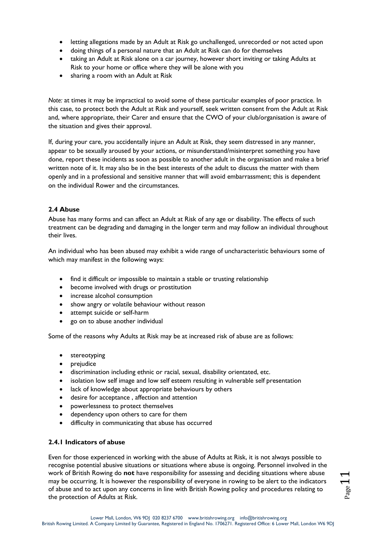- letting allegations made by an Adult at Risk go unchallenged, unrecorded or not acted upon
- doing things of a personal nature that an Adult at Risk can do for themselves
- taking an Adult at Risk alone on a car journey, however short inviting or taking Adults at Risk to your home or office where they will be alone with you
- sharing a room with an Adult at Risk

*Note:* at times it may be impractical to avoid some of these particular examples of poor practice. In this case, to protect both the Adult at Risk and yourself, seek written consent from the Adult at Risk and, where appropriate, their Carer and ensure that the CWO of your club/organisation is aware of the situation and gives their approval.

If, during your care, you accidentally injure an Adult at Risk, they seem distressed in any manner, appear to be sexually aroused by your actions, or misunderstand/misinterpret something you have done, report these incidents as soon as possible to another adult in the organisation and make a brief written note of it. It may also be in the best interests of the adult to discuss the matter with them openly and in a professional and sensitive manner that will avoid embarrassment; this is dependent on the individual Rower and the circumstances.

## **2.4 Abuse**

Abuse has many forms and can affect an Adult at Risk of any age or disability. The effects of such treatment can be degrading and damaging in the longer term and may follow an individual throughout their lives.

An individual who has been abused may exhibit a wide range of uncharacteristic behaviours some of which may manifest in the following ways:

- find it difficult or impossible to maintain a stable or trusting relationship
- become involved with drugs or prostitution
- increase alcohol consumption
- show angry or volatile behaviour without reason
- attempt suicide or self-harm
- go on to abuse another individual

Some of the reasons why Adults at Risk may be at increased risk of abuse are as follows:

- stereotyping
- prejudice
- discrimination including ethnic or racial, sexual, disability orientated, etc.
- isolation low self image and low self esteem resulting in vulnerable self presentation
- lack of knowledge about appropriate behaviours by others
- desire for acceptance , affection and attention
- powerlessness to protect themselves
- dependency upon others to care for them
- difficulty in communicating that abuse has occurred

# **2.4.1 Indicators of abuse**

Even for those experienced in working with the abuse of Adults at Risk, it is not always possible to recognise potential abusive situations or situations where abuse is ongoing. Personnel involved in the work of British Rowing do **not** have responsibility for assessing and deciding situations where abuse may be occurring. It is however the responsibility of everyone in rowing to be alert to the indicators of abuse and to act upon any concerns in line with British Rowing policy and procedures relating to the protection of Adults at Risk.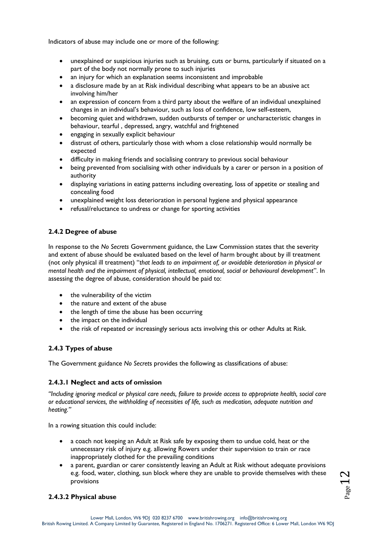Indicators of abuse may include one or more of the following:

- unexplained or suspicious injuries such as bruising, cuts or burns, particularly if situated on a part of the body not normally prone to such injuries
- an injury for which an explanation seems inconsistent and improbable
- a disclosure made by an at Risk individual describing what appears to be an abusive act involving him/her
- an expression of concern from a third party about the welfare of an individual unexplained changes in an individual's behaviour, such as loss of confidence, low self-esteem,
- becoming quiet and withdrawn, sudden outbursts of temper or uncharacteristic changes in behaviour, tearful , depressed, angry, watchful and frightened
- engaging in sexually explicit behaviour
- distrust of others, particularly those with whom a close relationship would normally be expected
- difficulty in making friends and socialising contrary to previous social behaviour
- being prevented from socialising with other individuals by a carer or person in a position of authority
- displaying variations in eating patterns including overeating, loss of appetite or stealing and concealing food
- unexplained weight loss deterioration in personal hygiene and physical appearance
- refusal/reluctance to undress or change for sporting activities

# **2.4.2 Degree of abuse**

In response to the *No Secrets* Government guidance, the Law Commission states that the severity and extent of abuse should be evaluated based on the level of harm brought about by ill treatment (not only physical ill treatment) "*that leads to an impairment of, or avoidable deterioration in physical or mental health and the impairment of physical, intellectual, emotional, social or behavioural development*". In assessing the degree of abuse, consideration should be paid to:

- the vulnerability of the victim
- the nature and extent of the abuse
- the length of time the abuse has been occurring
- the impact on the individual
- the risk of repeated or increasingly serious acts involving this or other Adults at Risk.

# **2.4.3 Types of abuse**

The Government guidance *No Secret*s provides the following as classifications of abuse:

# **2.4.3.1 Neglect and acts of omission**

*"Including ignoring medical or physical care needs, failure to provide access to appropriate health, social care or educational services, the withholding of necessities of life, such as medication, adequate nutrition and heating."* 

In a rowing situation this could include:

- a coach not keeping an Adult at Risk safe by exposing them to undue cold, heat or the unnecessary risk of injury e.g. allowing Rowers under their supervision to train or race inappropriately clothed for the prevailing conditions
- a parent, guardian or carer consistently leaving an Adult at Risk without adequate provisions e.g. food, water, clothing, sun block where they are unable to provide themselves with these provisions

# **2.4.3.2 Physical abuse**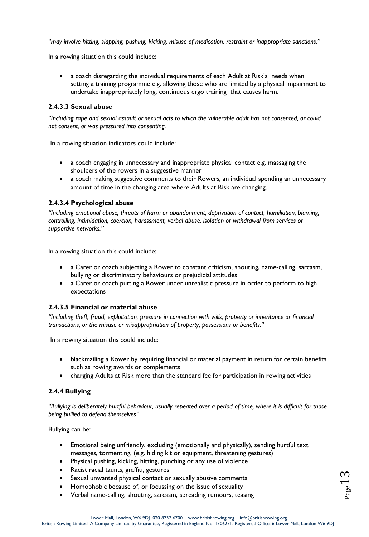*"may involve hitting, slapping, pushing, kicking, misuse of medication, restraint or inappropriate sanctions."* 

In a rowing situation this could include:

 a coach disregarding the individual requirements of each Adult at Risk's needs when setting a training programme e.g. allowing those who are limited by a physical impairment to undertake inappropriately long, continuous ergo training that causes harm.

## **2.4.3.3 Sexual abuse**

*"Including rape and sexual assault or sexual acts to which the vulnerable adult has not consented, or could not consent, or was pressured into consenting.* 

In a rowing situation indicators could include:

- a coach engaging in unnecessary and inappropriate physical contact e.g. massaging the shoulders of the rowers in a suggestive manner
- a coach making suggestive comments to their Rowers, an individual spending an unnecessary amount of time in the changing area where Adults at Risk are changing.

## **2.4.3.4 Psychological abuse**

*"Including emotional abuse, threats of harm or abandonment, deprivation of contact, humiliation, blaming, controlling, intimidation, coercion, harassment, verbal abuse, isolation or withdrawal from services or supportive networks."* 

In a rowing situation this could include:

- a Carer or coach subjecting a Rower to constant criticism, shouting, name-calling, sarcasm, bullying or discriminatory behaviours or prejudicial attitudes
- a Carer or coach putting a Rower under unrealistic pressure in order to perform to high expectations

## **2.4.3.5 Financial or material abuse**

*"Including theft, fraud, exploitation, pressure in connection with wills, property or inheritance or financial transactions, or the misuse or misappropriation of property, possessions or benefits."* 

In a rowing situation this could include:

- blackmailing a Rower by requiring financial or material payment in return for certain benefits such as rowing awards or complements
- charging Adults at Risk more than the standard fee for participation in rowing activities

# **2.4.4 Bullying**

*"Bullying is deliberately hurtful behaviour, usually repeated over a period of time, where it is difficult for those being bullied to defend themselves"* 

Bullying can be:

- Emotional being unfriendly, excluding (emotionally and physically), sending hurtful text messages, tormenting, (e.g. hiding kit or equipment, threatening gestures)
- Physical pushing, kicking, hitting, punching or any use of violence
- Racist racial taunts, graffiti, gestures
- Sexual unwanted physical contact or sexually abusive comments
- Homophobic because of, or focussing on the issue of sexuality
- Verbal name-calling, shouting, sarcasm, spreading rumours, teasing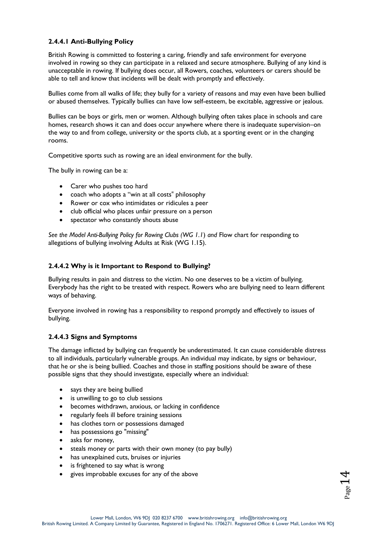# **2.4.4.1 Anti-Bullying Policy**

British Rowing is committed to fostering a caring, friendly and safe environment for everyone involved in rowing so they can participate in a relaxed and secure atmosphere. Bullying of any kind is unacceptable in rowing. If bullying does occur, all Rowers, coaches, volunteers or carers should be able to tell and know that incidents will be dealt with promptly and effectively.

Bullies come from all walks of life; they bully for a variety of reasons and may even have been bullied or abused themselves. Typically bullies can have low self-esteem, be excitable, aggressive or jealous.

Bullies can be boys or girls, men or women. Although bullying often takes place in schools and care homes, research shows it can and does occur anywhere where there is inadequate supervision–on the way to and from college, university or the sports club, at a sporting event or in the changing rooms.

Competitive sports such as rowing are an ideal environment for the bully.

The bully in rowing can be a:

- Carer who pushes too hard
- coach who adopts a "win at all costs" philosophy
- Rower or cox who intimidates or ridicules a peer
- club official who places unfair pressure on a person
- spectator who constantly shouts abuse

*See the Model Anti-Bullying Policy for Rowing Clubs (WG 1.1*) *and* Flow chart for responding to allegations of bullying involving Adults at Risk (WG 1.15).

## **2.4.4.2 Why is it Important to Respond to Bullying?**

Bullying results in pain and distress to the victim. No one deserves to be a victim of bullying. Everybody has the right to be treated with respect. Rowers who are bullying need to learn different ways of behaving.

Everyone involved in rowing has a responsibility to respond promptly and effectively to issues of bullying.

## **2.4.4.3 Signs and Symptoms**

The damage inflicted by bullying can frequently be underestimated. It can cause considerable distress to all individuals, particularly vulnerable groups. An individual may indicate, by signs or behaviour, that he or she is being bullied. Coaches and those in staffing positions should be aware of these possible signs that they should investigate, especially where an individual:

- says they are being bullied
- is unwilling to go to club sessions
- becomes withdrawn, anxious, or lacking in confidence
- regularly feels ill before training sessions
- has clothes torn or possessions damaged
- has possessions go "missing"
- asks for money,
- steals money or parts with their own money (to pay bully)
- has unexplained cuts, bruises or injuries
- is frightened to say what is wrong
- gives improbable excuses for any of the above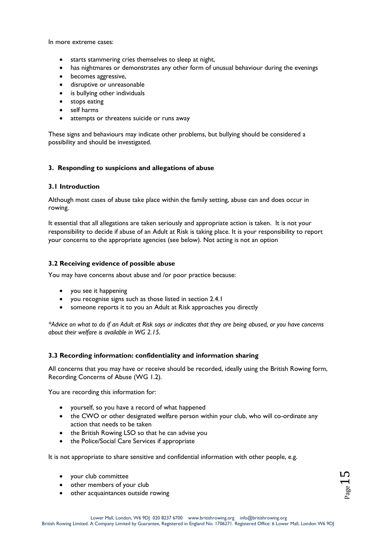In more extreme cases:

- starts stammering cries themselves to sleep at night,
- has nightmares or demonstrates any other form of unusual behaviour during the evenings
- becomes aggressive,
- disruptive or unreasonable
- is bullying other individuals
- stops eating
- self harms
- attempts or threatens suicide or runs away

These signs and behaviours may indicate other problems, but bullying should be considered a possibility and should be investigated.

## **3. Responding to suspicions and allegations of abuse**

## **3.1 Introduction**

Although most cases of abuse take place within the family setting, abuse can and does occur in rowing.

It essential that all allegations are taken seriously and appropriate action is taken. It is not your responsibility to decide if abuse of an Adult at Risk is taking place. It is your responsibility to report your concerns to the appropriate agencies (see below). Not acting is not an option

## **3.2 Receiving evidence of possible abuse**

You may have concerns about abuse and /or poor practice because:

- you see it happening
- you recognise signs such as those listed in section 2.4.1
- someone reports it to you an Adult at Risk approaches you directly

*\*Advice on what to do if an Adult at Risk says or indicates that they are being abused, or you have concerns about their welfare is available in WG 2.15.*

## **3.3 Recording information: confidentiality and information sharing**

All concerns that you may have or receive should be recorded, ideally using the British Rowing form, Recording Concerns of Abuse (WG 1.2).

You are recording this information for:

- yourself, so you have a record of what happened
- the CWO or other designated welfare person within your club, who will co-ordinate any action that needs to be taken
- the British Rowing LSO so that he can advise you
- the Police/Social Care Services if appropriate

It is not appropriate to share sensitive and confidential information with other people, e.g.

- your club committee
- other members of your club
- other acquaintances outside rowing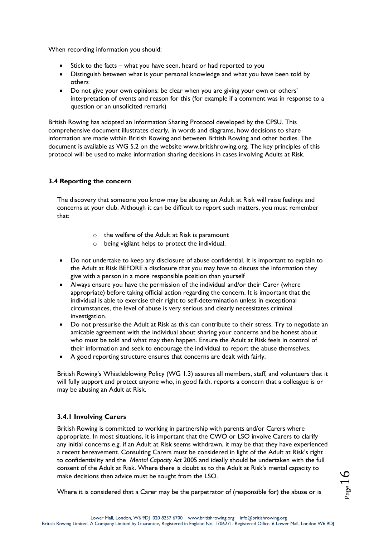When recording information you should:

- Stick to the facts what you have seen, heard or had reported to you
- Distinguish between what is your personal knowledge and what you have been told by others
- Do not give your own opinions: be clear when you are giving your own or others' interpretation of events and reason for this (for example if a comment was in response to a question or an unsolicited remark)

British Rowing has adopted an Information Sharing Protocol developed by the CPSU. This comprehensive document illustrates clearly, in words and diagrams, how decisions to share information are made within British Rowing and between British Rowing and other bodies. The document is available as WG 5.2 on the website www.britishrowing.org. The key principles of this protocol will be used to make information sharing decisions in cases involving Adults at Risk.

# **3.4 Reporting the concern**

The discovery that someone you know may be abusing an Adult at Risk will raise feelings and concerns at your club. Although it can be difficult to report such matters, you must remember that:

- o the welfare of the Adult at Risk is paramount
- o being vigilant helps to protect the individual.
- Do not undertake to keep any disclosure of abuse confidential. It is important to explain to the Adult at Risk BEFORE a disclosure that you may have to discuss the information they give with a person in a more responsible position than yourself
- Always ensure you have the permission of the individual and/or their Carer (where appropriate) before taking official action regarding the concern. It is important that the individual is able to exercise their right to self-determination unless in exceptional circumstances, the level of abuse is very serious and clearly necessitates criminal investigation.
- Do not pressurise the Adult at Risk as this can contribute to their stress. Try to negotiate an amicable agreement with the individual about sharing your concerns and be honest about who must be told and what may then happen. Ensure the Adult at Risk feels in control of their information and seek to encourage the individual to report the abuse themselves.
- A good reporting structure ensures that concerns are dealt with fairly.

British Rowing's Whistleblowing Policy (WG 1.3) assures all members, staff, and volunteers that it will fully support and protect anyone who, in good faith, reports a concern that a colleague is or may be abusing an Adult at Risk.

# **3.4.1 Involving Carers**

British Rowing is committed to working in partnership with parents and/or Carers where appropriate. In most situations, it is important that the CWO or LSO involve Carers to clarify any initial concerns e.g. if an Adult at Risk seems withdrawn, it may be that they have experienced a recent bereavement. Consulting Carers must be considered in light of the Adult at Risk's right to confidentiality and the *Mental Capacity Act* 2005 and ideally should be undertaken with the full consent of the Adult at Risk. Where there is doubt as to the Adult at Risk's mental capacity to make decisions then advice must be sought from the LSO.

Where it is considered that a Carer may be the perpetrator of (responsible for) the abuse or is

Page16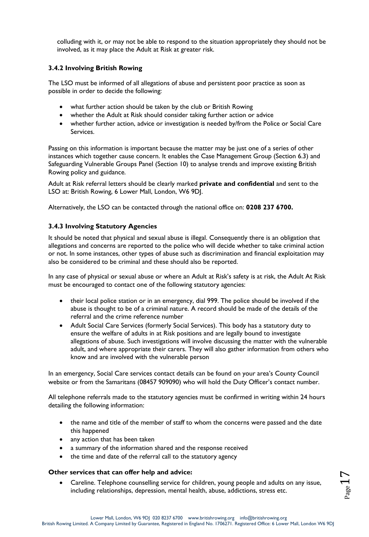colluding with it, or may not be able to respond to the situation appropriately they should not be involved, as it may place the Adult at Risk at greater risk.

## **3.4.2 Involving British Rowing**

The LSO must be informed of all allegations of abuse and persistent poor practice as soon as possible in order to decide the following:

- what further action should be taken by the club or British Rowing
- whether the Adult at Risk should consider taking further action or advice
- whether further action, advice or investigation is needed by/from the Police or Social Care Services.

Passing on this information is important because the matter may be just one of a series of other instances which together cause concern. It enables the Case Management Group (Section 6.3) and Safeguarding Vulnerable Groups Panel (Section 10) to analyse trends and improve existing British Rowing policy and guidance.

Adult at Risk referral letters should be clearly marked **private and confidential** and sent to the LSO at: British Rowing, 6 Lower Mall, London, W6 9DJ.

Alternatively, the LSO can be contacted through the national office on: **0208 237 6700.** 

## **3.4.3 Involving Statutory Agencies**

It should be noted that physical and sexual abuse is illegal. Consequently there is an obligation that allegations and concerns are reported to the police who will decide whether to take criminal action or not. In some instances, other types of abuse such as discrimination and financial exploitation may also be considered to be criminal and these should also be reported.

In any case of physical or sexual abuse or where an Adult at Risk's safety is at risk, the Adult At Risk must be encouraged to contact one of the following statutory agencies:

- their local police station or in an emergency, dial 999. The police should be involved if the abuse is thought to be of a criminal nature. A record should be made of the details of the referral and the crime reference number
- Adult Social Care Services (formerly Social Services). This body has a statutory duty to ensure the welfare of adults in at Risk positions and are legally bound to investigate allegations of abuse. Such investigations will involve discussing the matter with the vulnerable adult, and where appropriate their carers. They will also gather information from others who know and are involved with the vulnerable person

In an emergency, Social Care services contact details can be found on your area's County Council website or from the Samaritans (08457 909090) who will hold the Duty Officer's contact number.

All telephone referrals made to the statutory agencies must be confirmed in writing within 24 hours detailing the following information:

- the name and title of the member of staff to whom the concerns were passed and the date this happened
- any action that has been taken
- a summary of the information shared and the response received
- the time and date of the referral call to the statutory agency

## **Other services that can offer help and advice:**

 Careline. Telephone counselling service for children, young people and adults on any issue, including relationships, depression, mental health, abuse, addictions, stress etc.

 $P_{\text{age}}17$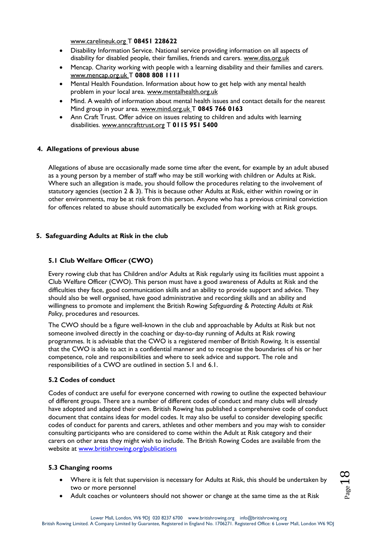[www.carelineuk.org T](http://www.carelineuk.org/) **08451 228622** 

- Disability Information Service. National service providing information on all aspects of disability for disabled people, their families, friends and carers. [www.diss.org.uk](http://www.diss.org.uk/)
- Mencap. Charity working with people with a learning disability and their families and carers. [www.mencap.org.uk T](http://www.mencap.org.uk/) **0808 808 1111**
- Mental Health Foundation. Information about how to get help with any mental health problem in your local area. [www.mentalhealth.org.uk](http://www.mentalhealth.org.uk/)
- Mind. A wealth of information about mental health issues and contact details for the nearest Mind group in your area. [www.mind.org.uk T](http://www.mind.org.uk/) **0845 766 0163**
- Ann Craft Trust. Offer advice on issues relating to children and adults with learning disabilities. [www.anncrafttrust.org](http://www.anncrafttrust.org/) T **0115 951 5400**

## **4. Allegations of previous abuse**

Allegations of abuse are occasionally made some time after the event, for example by an adult abused as a young person by a member of staff who may be still working with children or Adults at Risk. Where such an allegation is made, you should follow the procedures relating to the involvement of statutory agencies (section 2 & 3). This is because other Adults at Risk, either within rowing or in other environments, may be at risk from this person. Anyone who has a previous criminal conviction for offences related to abuse should automatically be excluded from working with at Risk groups.

## **5. Safeguarding Adults at Risk in the club**

# **5.1 Club Welfare Officer (CWO)**

Every rowing club that has Children and/or Adults at Risk regularly using its facilities must appoint a Club Welfare Officer (CWO). This person must have a good awareness of Adults at Risk and the difficulties they face, good communication skills and an ability to provide support and advice. They should also be well organised, have good administrative and recording skills and an ability and willingness to promote and implement the British Rowing *Safeguarding & Protecting Adults at Risk Policy*, procedures and resources.

The CWO should be a figure well-known in the club and approachable by Adults at Risk but not someone involved directly in the coaching or day-to-day running of Adults at Risk rowing programmes. It is advisable that the CWO is a registered member of British Rowing. It is essential that the CWO is able to act in a confidential manner and to recognise the boundaries of his or her competence, role and responsibilities and where to seek advice and support. The role and responsibilities of a CWO are outlined in section 5.1 and 6.1.

## **5.2 Codes of conduct**

Codes of conduct are useful for everyone concerned with rowing to outline the expected behaviour of different groups. There are a number of different codes of conduct and many clubs will already have adopted and adapted their own. British Rowing has published a comprehensive code of conduct document that contains ideas for model codes. It may also be useful to consider developing specific codes of conduct for parents and carers, athletes and other members and you may wish to consider consulting participants who are considered to come within the Adult at Risk category and their carers on other areas they might wish to include. The British Rowing Codes are available from the website at [www.britishrowing.org/publications](http://www.britishrowing.org/publications) 

## **5.3 Changing rooms**

- Where it is felt that supervision is necessary for Adults at Risk, this should be undertaken by two or more personnel
- Adult coaches or volunteers should not shower or change at the same time as the at Risk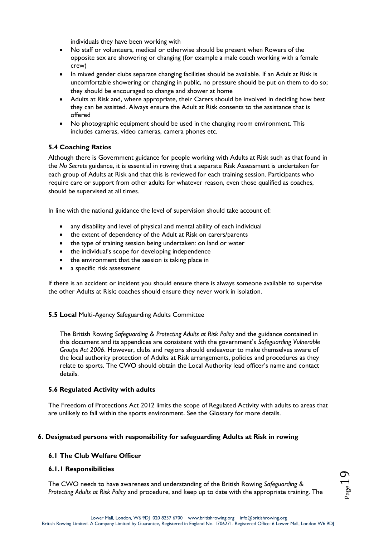individuals they have been working with

- No staff or volunteers, medical or otherwise should be present when Rowers of the opposite sex are showering or changing (for example a male coach working with a female crew)
- In mixed gender clubs separate changing facilities should be available. If an Adult at Risk is uncomfortable showering or changing in public, no pressure should be put on them to do so; they should be encouraged to change and shower at home
- Adults at Risk and, where appropriate, their Carers should be involved in deciding how best they can be assisted. Always ensure the Adult at Risk consents to the assistance that is offered
- No photographic equipment should be used in the changing room environment. This includes cameras, video cameras, camera phones etc.

## **5.4 Coaching Ratios**

Although there is Government guidance for people working with Adults at Risk such as that found in the *No Secrets* guidance, it is essential in rowing that a separate Risk Assessment is undertaken for each group of Adults at Risk and that this is reviewed for each training session. Participants who require care or support from other adults for whatever reason, even those qualified as coaches, should be supervised at all times.

In line with the national guidance the level of supervision should take account of:

- any disability and level of physical and mental ability of each individual
- the extent of dependency of the Adult at Risk on carers/parents
- the type of training session being undertaken: on land or water
- the individual's scope for developing independence
- the environment that the session is taking place in
- a specific risk assessment

If there is an accident or incident you should ensure there is always someone available to supervise the other Adults at Risk; coaches should ensure they never work in isolation.

## **5.5 Local** Multi-Agency Safeguarding Adults Committee

The British Rowing *Safeguarding & Protecting Adults at Risk Policy* and the guidance contained in this document and its appendices are consistent with the government's *Safeguarding Vulnerable Groups Act 2006*. However, clubs and regions should endeavour to make themselves aware of the local authority protection of Adults at Risk arrangements, policies and procedures as they relate to sports. The CWO should obtain the Local Authority lead officer's name and contact details.

## **5.6 Regulated Activity with adults**

The Freedom of Protections Act 2012 limits the scope of Regulated Activity with adults to areas that are unlikely to fall within the sports environment. See the Glossary for more details.

# **6. Designated persons with responsibility for safeguarding Adults at Risk in rowing**

## **6.1 The Club Welfare Officer**

## **6.1.1 Responsibilities**

The CWO needs to have awareness and understanding of the British Rowing *Safeguarding & Protecting Adults at Risk Policy* and procedure, and keep up to date with the appropriate training. The

 $P_{\text{age}}19$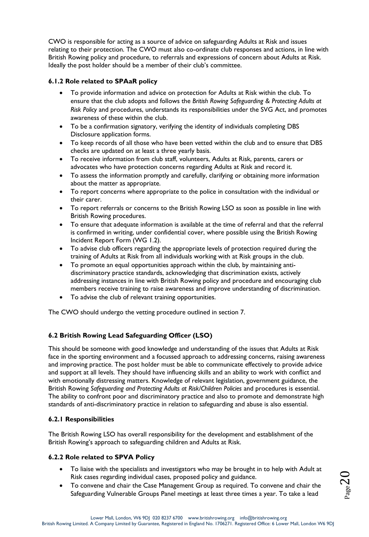CWO is responsible for acting as a source of advice on safeguarding Adults at Risk and issues relating to their protection. The CWO must also co-ordinate club responses and actions, in line with British Rowing policy and procedure, to referrals and expressions of concern about Adults at Risk. Ideally the post holder should be a member of their club's committee.

## **6.1.2 Role related to SPAaR policy**

- To provide information and advice on protection for Adults at Risk within the club. To ensure that the club adopts and follows the *British Rowing Safeguarding & Protecting Adults at Risk Policy* and procedures, understands its responsibilities under the SVG Act, and promotes awareness of these within the club.
- To be a confirmation signatory, verifying the identity of individuals completing DBS Disclosure application forms.
- To keep records of all those who have been vetted within the club and to ensure that DBS checks are updated on at least a three yearly basis.
- To receive information from club staff, volunteers, Adults at Risk, parents, carers or advocates who have protection concerns regarding Adults at Risk and record it.
- To assess the information promptly and carefully, clarifying or obtaining more information about the matter as appropriate.
- To report concerns where appropriate to the police in consultation with the individual or their carer.
- To report referrals or concerns to the British Rowing LSO as soon as possible in line with British Rowing procedures.
- To ensure that adequate information is available at the time of referral and that the referral is confirmed in writing, under confidential cover, where possible using the British Rowing Incident Report Form (WG 1.2).
- To advise club officers regarding the appropriate levels of protection required during the training of Adults at Risk from all individuals working with at Risk groups in the club.
- To promote an equal opportunities approach within the club, by maintaining antidiscriminatory practice standards, acknowledging that discrimination exists, actively addressing instances in line with British Rowing policy and procedure and encouraging club members receive training to raise awareness and improve understanding of discrimination.
- To advise the club of relevant training opportunities.

The CWO should undergo the vetting procedure outlined in section 7.

# **6.2 British Rowing Lead Safeguarding Officer (LSO)**

This should be someone with good knowledge and understanding of the issues that Adults at Risk face in the sporting environment and a focussed approach to addressing concerns, raising awareness and improving practice. The post holder must be able to communicate effectively to provide advice and support at all levels. They should have influencing skills and an ability to work with conflict and with emotionally distressing matters. Knowledge of relevant legislation, government guidance, the British Rowing *Safeguarding and Protecting Adults at Risk/Children Policies* and procedures is essential. The ability to confront poor and discriminatory practice and also to promote and demonstrate high standards of anti-discriminatory practice in relation to safeguarding and abuse is also essential.

## **6.2.1 Responsibilities**

The British Rowing LSO has overall responsibility for the development and establishment of the British Rowing's approach to safeguarding children and Adults at Risk.

## **6.2.2 Role related to SPVA Policy**

- To liaise with the specialists and investigators who may be brought in to help with Adult at Risk cases regarding individual cases, proposed policy and guidance.
- To convene and chair the Case Management Group as required. To convene and chair the Safeguarding Vulnerable Groups Panel meetings at least three times a year. To take a lead

 $\rm{O}$  $\rm{O}$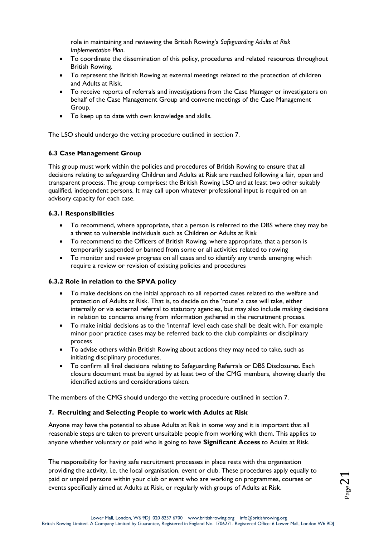role in maintaining and reviewing the British Rowing's *Safeguarding Adults at Risk Implementation Plan*.

- To coordinate the dissemination of this policy, procedures and related resources throughout British Rowing.
- To represent the British Rowing at external meetings related to the protection of children and Adults at Risk.
- To receive reports of referrals and investigations from the Case Manager or investigators on behalf of the Case Management Group and convene meetings of the Case Management Group.
- To keep up to date with own knowledge and skills.

The LSO should undergo the vetting procedure outlined in section 7.

## **6.3 Case Management Group**

This group must work within the policies and procedures of British Rowing to ensure that all decisions relating to safeguarding Children and Adults at Risk are reached following a fair, open and transparent process. The group comprises: the British Rowing LSO and at least two other suitably qualified, independent persons. It may call upon whatever professional input is required on an advisory capacity for each case.

## **6.3.1 Responsibilities**

- To recommend, where appropriate, that a person is referred to the DBS where they may be a threat to vulnerable individuals such as Children or Adults at Risk
- To recommend to the Officers of British Rowing, where appropriate, that a person is temporarily suspended or banned from some or all activities related to rowing
- To monitor and review progress on all cases and to identify any trends emerging which require a review or revision of existing policies and procedures

## **6.3.2 Role in relation to the SPVA policy**

- To make decisions on the initial approach to all reported cases related to the welfare and protection of Adults at Risk. That is, to decide on the 'route' a case will take, either internally or via external referral to statutory agencies, but may also include making decisions in relation to concerns arising from information gathered in the recruitment process.
- To make initial decisions as to the 'internal' level each case shall be dealt with. For example minor poor practice cases may be referred back to the club complaints or disciplinary process
- To advise others within British Rowing about actions they may need to take, such as initiating disciplinary procedures.
- To confirm all final decisions relating to Safeguarding Referrals or DBS Disclosures. Each closure document must be signed by at least two of the CMG members, showing clearly the identified actions and considerations taken.

The members of the CMG should undergo the vetting procedure outlined in section 7.

## **7. Recruiting and Selecting People to work with Adults at Risk**

Anyone may have the potential to abuse Adults at Risk in some way and it is important that all reasonable steps are taken to prevent unsuitable people from working with them. This applies to anyone whether voluntary or paid who is going to have **Significant Access** to Adults at Risk.

The responsibility for having safe recruitment processes in place rests with the organisation providing the activity, i.e. the local organisation, event or club. These procedures apply equally to paid or unpaid persons within your club or event who are working on programmes, courses or events specifically aimed at Adults at Risk, or regularly with groups of Adults at Risk.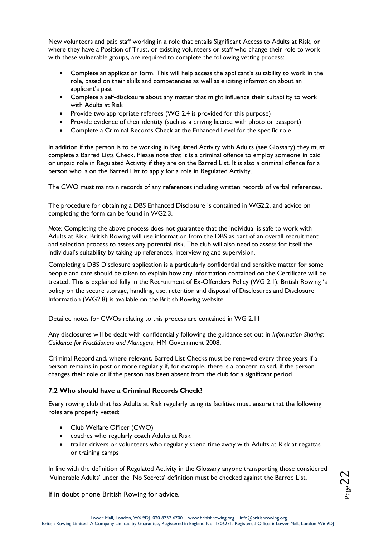New volunteers and paid staff working in a role that entails Significant Access to Adults at Risk, or where they have a Position of Trust, or existing volunteers or staff who change their role to work with these vulnerable groups, are required to complete the following vetting process:

- Complete an application form. This will help access the applicant's suitability to work in the role, based on their skills and competencies as well as eliciting information about an applicant's past
- Complete a self-disclosure about any matter that might influence their suitability to work with Adults at Risk
- Provide two appropriate referees (WG 2.4 is provided for this purpose)
- Provide evidence of their identity (such as a driving licence with photo or passport)
- Complete a Criminal Records Check at the Enhanced Level for the specific role

In addition if the person is to be working in Regulated Activity with Adults (see Glossary) they must complete a Barred Lists Check. Please note that it is a criminal offence to employ someone in paid or unpaid role in Regulated Activity if they are on the Barred List. It is also a criminal offence for a person who is on the Barred List to apply for a role in Regulated Activity.

The CWO must maintain records of any references including written records of verbal references.

The procedure for obtaining a DBS Enhanced Disclosure is contained in WG2.2, and advice on completing the form can be found in WG2.3.

*Note:* Completing the above process does not guarantee that the individual is safe to work with Adults at Risk. British Rowing will use information from the DBS as part of an overall recruitment and selection process to assess any potential risk. The club will also need to assess for itself the individual's suitability by taking up references, interviewing and supervision.

Completing a DBS Disclosure application is a particularly confidential and sensitive matter for some people and care should be taken to explain how any information contained on the Certificate will be treated. This is explained fully in the Recruitment of Ex-Offenders Policy (WG 2.1). British Rowing 's policy on the secure storage, handling, use, retention and disposal of Disclosures and Disclosure Information (WG2.8) is available on the British Rowing website.

Detailed notes for CWOs relating to this process are contained in WG 2.11

Any disclosures will be dealt with confidentially following the guidance set out in *Information Sharing: Guidance for Practitioners and Managers*, HM Government 2008.

Criminal Record and, where relevant, Barred List Checks must be renewed every three years if a person remains in post or more regularly if, for example, there is a concern raised, if the person changes their role or if the person has been absent from the club for a significant period

## **7.2 Who should have a Criminal Records Check?**

Every rowing club that has Adults at Risk regularly using its facilities must ensure that the following roles are properly vetted:

- Club Welfare Officer (CWO)
- coaches who regularly coach Adults at Risk
- trailer drivers or volunteers who regularly spend time away with Adults at Risk at regattas or training camps

In line with the definition of Regulated Activity in the Glossary anyone transporting those considered 'Vulnerable Adults' under the 'No Secrets' definition must be checked against the Barred List.

If in doubt phone British Rowing for advice.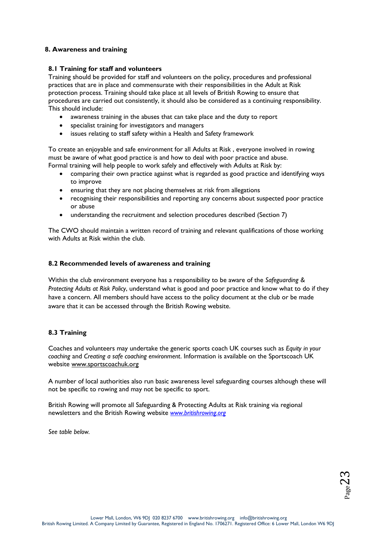## **8. Awareness and training**

## **8.1 Training for staff and volunteers**

Training should be provided for staff and volunteers on the policy, procedures and professional practices that are in place and commensurate with their responsibilities in the Adult at Risk protection process. Training should take place at all levels of British Rowing to ensure that procedures are carried out consistently, it should also be considered as a continuing responsibility. This should include:

- awareness training in the abuses that can take place and the duty to report
- specialist training for investigators and managers
- issues relating to staff safety within a Health and Safety framework

To create an enjoyable and safe environment for all Adults at Risk , everyone involved in rowing must be aware of what good practice is and how to deal with poor practice and abuse. Formal training will help people to work safely and effectively with Adults at Risk by:

- comparing their own practice against what is regarded as good practice and identifying ways to improve
- ensuring that they are not placing themselves at risk from allegations
- recognising their responsibilities and reporting any concerns about suspected poor practice or abuse
- understanding the recruitment and selection procedures described (Section 7)

The CWO should maintain a written record of training and relevant qualifications of those working with Adults at Risk within the club.

#### **8.2 Recommended levels of awareness and training**

Within the club environment everyone has a responsibility to be aware of the *Safeguarding & Protecting Adults at Risk Policy*, understand what is good and poor practice and know what to do if they have a concern. All members should have access to the policy document at the club or be made aware that it can be accessed through the British Rowing website.

## **8.3 Training**

Coaches and volunteers may undertake the generic sports coach UK courses such as *Equity in your coaching* and *Creating a safe coaching environment*. Information is available on the Sportscoach UK website [www.sportscoachuk.org](http://www.sportscoachuk.org/) 

A number of local authorities also run basic awareness level safeguarding courses although these will not be specific to rowing and may not be specific to sport.

British Rowing will promote all Safeguarding & Protecting Adults at Risk training via regional newsletters and the British Rowing website *www.britishrowing.org* 

*See table below.*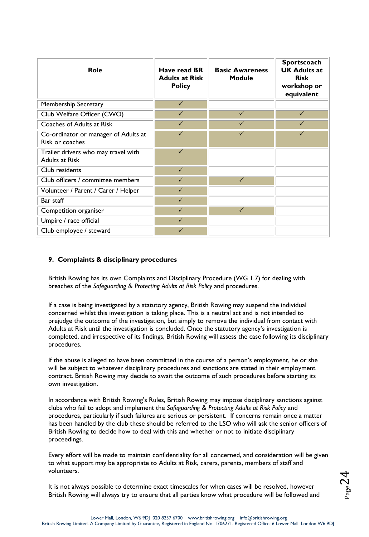| <b>Role</b>                                                  | Have read BR<br><b>Adults at Risk</b><br><b>Policy</b> | <b>Basic Awareness</b><br><b>Module</b> | Sportscoach<br><b>UK Adults at</b><br><b>Risk</b><br>workshop or<br>equivalent |
|--------------------------------------------------------------|--------------------------------------------------------|-----------------------------------------|--------------------------------------------------------------------------------|
| Membership Secretary                                         | $\checkmark$                                           |                                         |                                                                                |
| Club Welfare Officer (CWO)                                   | $\checkmark$                                           | $\checkmark$                            | $\checkmark$                                                                   |
| Coaches of Adults at Risk                                    | $\checkmark$                                           | $\checkmark$                            | $\checkmark$                                                                   |
| Co-ordinator or manager of Adults at<br>Risk or coaches      | $\checkmark$                                           | $\checkmark$                            | $\checkmark$                                                                   |
| Trailer drivers who may travel with<br><b>Adults at Risk</b> | $\checkmark$                                           |                                         |                                                                                |
| Club residents                                               | $\checkmark$                                           |                                         |                                                                                |
| Club officers / committee members                            | $\checkmark$                                           | $\checkmark$                            |                                                                                |
| Volunteer / Parent / Carer / Helper                          | $\checkmark$                                           |                                         |                                                                                |
| Bar staff                                                    | $\checkmark$                                           |                                         |                                                                                |
| Competition organiser                                        | $\checkmark$                                           | $\checkmark$                            |                                                                                |
| Umpire / race official                                       | $\checkmark$                                           |                                         |                                                                                |
| Club employee / steward                                      | $\checkmark$                                           |                                         |                                                                                |

## **9. Complaints & disciplinary procedures**

British Rowing has its own Complaints and Disciplinary Procedure (WG 1.7) for dealing with breaches of the *Safeguarding & Protecting Adults at Risk Policy* and procedures.

If a case is being investigated by a statutory agency, British Rowing may suspend the individual concerned whilst this investigation is taking place. This is a neutral act and is not intended to prejudge the outcome of the investigation, but simply to remove the individual from contact with Adults at Risk until the investigation is concluded. Once the statutory agency's investigation is completed, and irrespective of its findings, British Rowing will assess the case following its disciplinary procedures.

If the abuse is alleged to have been committed in the course of a person's employment, he or she will be subject to whatever disciplinary procedures and sanctions are stated in their employment contract. British Rowing may decide to await the outcome of such procedures before starting its own investigation.

In accordance with British Rowing's Rules, British Rowing may impose disciplinary sanctions against clubs who fail to adopt and implement the *Safeguarding & Protecting Adults at Risk Policy* and procedures, particularly if such failures are serious or persistent. If concerns remain once a matter has been handled by the club these should be referred to the LSO who will ask the senior officers of British Rowing to decide how to deal with this and whether or not to initiate disciplinary proceedings.

Every effort will be made to maintain confidentiality for all concerned, and consideration will be given to what support may be appropriate to Adults at Risk, carers, parents, members of staff and volunteers.

It is not always possible to determine exact timescales for when cases will be resolved, however British Rowing will always try to ensure that all parties know what procedure will be followed and